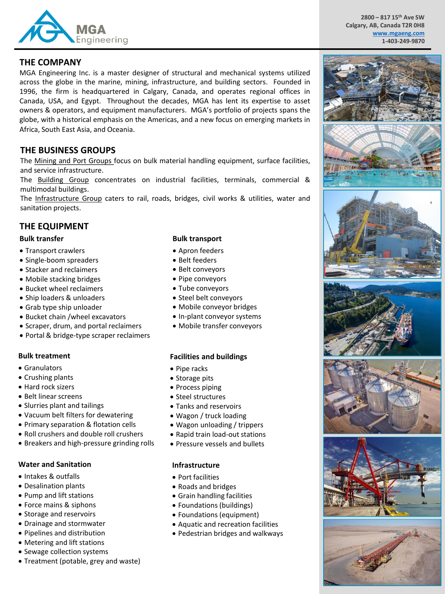

**2800 – 817 15th Ave SW Calgary, AB, Canada T2R 0H8 [www.mgaeng.com](http://www.mgaeng.com/) 1-403-249-9870**

## **THE COMPANY**

MGA Engineering Inc. is a master designer of structural and mechanical systems utilized across the globe in the marine, mining, infrastructure, and building sectors. Founded in 1996, the firm is headquartered in Calgary, Canada, and operates regional offices in Canada, USA, and Egypt. Throughout the decades, MGA has lent its expertise to asset owners & operators, and equipment manufacturers. MGA's portfolio of projects spans the globe, with a historical emphasis on the Americas, and a new focus on emerging markets in Africa, South East Asia, and Oceania.

# **THE BUSINESS GROUPS**

The Mining and Port Groups focus on bulk material handling equipment, surface facilities, and service infrastructure.

The Building Group concentrates on industrial facilities, terminals, commercial & multimodal buildings.

The Infrastructure Group caters to rail, roads, bridges, civil works & utilities, water and sanitation projects.

# **THE EQUIPMENT**

#### **Bulk transfer**

- Transport crawlers
- Single-boom spreaders
- Stacker and reclaimers
- Mobile stacking bridges
- Bucket wheel reclaimers
- Ship loaders & unloaders
- Grab type ship unloader
- Bucket chain /wheel excavators
- Scraper, drum, and portal reclaimers
- Portal & bridge-type scraper reclaimers

#### **Bulk treatment**

- Granulators
- Crushing plants
- Hard rock sizers
- Belt linear screens
- Slurries plant and tailings
- Vacuum belt filters for dewatering
- Primary separation & flotation cells
- Roll crushers and double roll crushers
- Breakers and high-pressure grinding rolls

#### **Water and Sanitation**

- Intakes & outfalls
- Desalination plants
- Pump and lift stations
- Force mains & siphons
- Storage and reservoirs
- Drainage and stormwater
- Pipelines and distribution
- Metering and lift stations
- Sewage collection systems
- Treatment (potable, grey and waste)

#### **Bulk transport**

- Apron feeders
- Belt feeders
- Belt conveyors
- Pipe conveyors
- Tube conveyors
- Steel belt conveyors
- Mobile conveyor bridges
- In-plant conveyor systems
- Mobile transfer conveyors

#### **Facilities and buildings**

- Pipe racks
- Storage pits
- Process piping
- Steel structures
- Tanks and reservoirs
- Wagon / truck loading
- Wagon unloading / trippers
- Rapid train load-out stations
- Pressure vessels and bullets

#### **Infrastructure**

- Port facilities
- Roads and bridges
- Grain handling facilities
- Foundations (buildings)
- Foundations (equipment)
- Aquatic and recreation facilities
- Pedestrian bridges and walkways